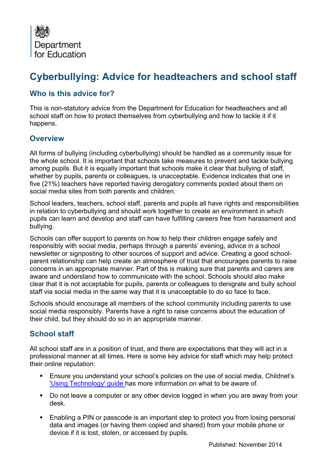

# **Cyberbullying: Advice for headteachers and school staff**

#### **Who is this advice for?**

This is non-statutory advice from the Department for Education for headteachers and all school staff on how to protect themselves from cyberbullying and how to tackle it if it happens.

#### **Overview**

All forms of bullying (including cyberbullying) should be handled as a community issue for the whole school. It is important that schools take measures to prevent and tackle bullying among pupils. But it is equally important that schools make it clear that bullying of staff, whether by pupils, parents or colleagues, is unacceptable. Evidence indicates that one in five (21%) teachers have reported having derogatory comments posted about them on social media sites from both parents and children.

School leaders, teachers, school staff, parents and pupils all have rights and responsibilities in relation to cyberbullying and should work together to create an environment in which pupils can learn and develop and staff can have fulfilling careers free from harassment and bullying.

Schools can offer support to parents on how to help their children engage safely and responsibly with social media, perhaps through a parents' evening, advice in a school newsletter or signposting to other sources of support and advice. Creating a good schoolparent relationship can help create an atmosphere of trust that encourages parents to raise concerns in an appropriate manner. Part of this is making sure that parents and carers are aware and understand how to communicate with the school. Schools should also make clear that it is not acceptable for pupils, parents or colleagues to denigrate and bully school staff via social media in the same way that it is unacceptable to do so face to face.

Schools should encourage all members of the school community including parents to use social media responsibly. Parents have a right to raise concerns about the education of their child, but they should do so in an appropriate manner.

## **School staff**

All school staff are in a position of trust, and there are expectations that they will act in a professional manner at all times. Here is some key advice for staff which may help protect their online reputation:

- Ensure you understand your school's policies on the use of social media, Childnet's ['Using Technology' guide h](http://www.childnet.com/teachers-and-professionals/for-you-as-a-professional/using-technology)as more information on what to be aware of.
- Do not leave a computer or any other device logged in when you are away from your desk.
- Enabling a PIN or passcode is an important step to protect you from losing personal data and images (or having them copied and shared) from your mobile phone or device if it is lost, stolen, or accessed by pupils.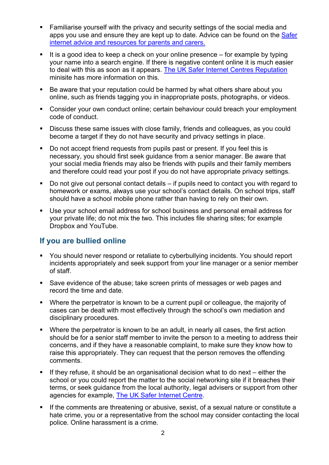- Familiarise yourself with the privacy and security settings of the social media and apps you use and ensure they are kept up to date. Advice can be found on the Safer [internet advice and resources for parents and carers.](http://www.saferinternet.org.uk/advice-and-resources/parents-and-carers/safety-tools-on-online-services)
- It is a good idea to keep a check on your online presence  $-$  for example by typing your name into a search engine. If there is negative content online it is much easier to deal with this as soon as it appears. [The UK Safer Internet Centres Reputation](http://workplaces/sites/ctg/a/WorkplaceDocuments/Behaviour%20and%20Bullying%20Team/Cyberbullying/Safer%20internet%20avice%20and%20resources%20for%20teachers-and-professionals%20reputation)  minisite has more information on this.
- Be aware that your reputation could be harmed by what others share about you online, such as friends tagging you in inappropriate posts, photographs, or videos.
- Consider your own conduct online; certain behaviour could breach your employment code of conduct.
- Discuss these same issues with close family, friends and colleagues, as you could become a target if they do not have security and privacy settings in place.
- Do not accept friend requests from pupils past or present. If you feel this is necessary, you should first seek guidance from a senior manager. Be aware that your social media friends may also be friends with pupils and their family members and therefore could read your post if you do not have appropriate privacy settings.
- Do not give out personal contact details if pupils need to contact you with regard to homework or exams, always use your school's contact details. On school trips, staff should have a school mobile phone rather than having to rely on their own.
- Use your school email address for school business and personal email address for your private life; do not mix the two. This includes file sharing sites; for example Dropbox and YouTube.

#### **If you are bullied online**

- You should never respond or retaliate to cyberbullying incidents. You should report incidents appropriately and seek support from your line manager or a senior member of staff.
- Save evidence of the abuse; take screen prints of messages or web pages and record the time and date.
- Where the perpetrator is known to be a current pupil or colleague, the majority of cases can be dealt with most effectively through the school's own mediation and disciplinary procedures.
- Where the perpetrator is known to be an adult, in nearly all cases, the first action should be for a senior staff member to invite the person to a meeting to address their concerns, and if they have a reasonable complaint, to make sure they know how to raise this appropriately. They can request that the person removes the offending comments.
- If they refuse, it should be an organisational decision what to do next either the school or you could report the matter to the social networking site if it breaches their terms, or seek guidance from the local authority, legal advisers or support from other agencies for example, [The UK Safer Internet Centre.](http://www.saferinternet.org.uk/)
- If the comments are threatening or abusive, sexist, of a sexual nature or constitute a hate crime, you or a representative from the school may consider contacting the local police. Online harassment is a crime.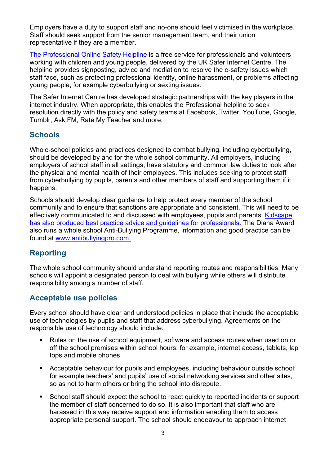Employers have a duty to support staff and no-one should feel victimised in the workplace. Staff should seek support from the senior management team, and their union representative if they are a member.

[The Professional Online Safety Helpline](http://www.saferinternet.org.uk/about/helpline) is a free service for professionals and volunteers working with children and young people, delivered by the UK Safer Internet Centre. The helpline provides signposting, advice and mediation to resolve the e-safety issues which staff face, such as protecting professional identity, online harassment, or problems affecting young people; for example cyberbullying or sexting issues.

The Safer Internet Centre has developed strategic partnerships with the key players in the internet industry. When appropriate, this enables the Professional helpline to seek resolution directly with the policy and safety teams at Facebook, Twitter, YouTube, Google, Tumblr, Ask.FM, Rate My Teacher and more.

#### **Schools**

Whole-school policies and practices designed to combat bullying, including cyberbullying, should be developed by and for the whole school community. All employers, including employers of school staff in all settings, have statutory and common law duties to look after the physical and mental health of their employees. This includes seeking to protect staff from cyberbullying by pupils, parents and other members of staff and supporting them if it happens.

Schools should develop clear guidance to help protect every member of the school community and to ensure that sanctions are appropriate and consistent. This will need to be effectively communicated to and discussed with employees, pupils and parents. [Kidscape](http://www.kidscape.org.uk/advice/advice-for-professionals/)  has also produced [best practice advice and guidelines for professionals.](http://www.kidscape.org.uk/advice/advice-for-professionals/) The Diana Award also runs a whole school Anti-Bullying Programme, information and good practice can be found at [www.antibullyingpro.com.](http://www.antibullyingpro.com/)

## **Reporting**

The whole school community should understand reporting routes and responsibilities. Many schools will appoint a designated person to deal with bullying while others will distribute responsibility among a number of staff.

## **Acceptable use policies**

Every school should have clear and understood policies in place that include the acceptable use of technologies by pupils and staff that address cyberbullying. Agreements on the responsible use of technology should include:

- Rules on the use of school equipment, software and access routes when used on or off the school premises within school hours: for example, internet access, tablets, lap tops and mobile phones.
- Acceptable behaviour for pupils and employees, including behaviour outside school: for example teachers' and pupils' use of social networking services and other sites, so as not to harm others or bring the school into disrepute.
- School staff should expect the school to react quickly to reported incidents or support the member of staff concerned to do so. It is also important that staff who are harassed in this way receive support and information enabling them to access appropriate personal support. The school should endeavour to approach internet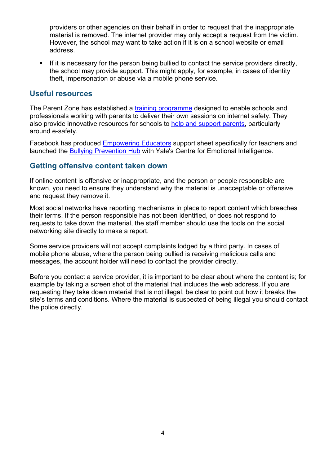providers or other agencies on their behalf in order to request that the inappropriate material is removed. The internet provider may only accept a request from the victim. However, the school may want to take action if it is on a school website or email address.

If it is necessary for the person being bullied to contact the service providers directly, the school may provide support. This might apply, for example, in cases of identity theft, impersonation or abuse via a mobile phone service.

#### **Useful resources**

The Parent Zone has established a [training programme](http://www.theparentzone.co.uk/parenting_digital_age_training_programme/3925) designed to enable schools and professionals working with parents to deliver their own sessions on internet safety. They also provide innovative resources for schools to [help and support parents,](http://www.theparentzone.co.uk/school) particularly around e-safety.

Facebook has produced [Empowering Educators](https://fbcdn-dragon-a.akamaihd.net/hphotos-ak-xpa1/t39.2365-6/851558_194156617437786_1297828159_n.pdf) support sheet specifically for teachers and launched the [Bullying Prevention Hub](https://www.facebook.com/safety/bullying/) with Yale's Centre for Emotional Intelligence.

#### **Getting offensive content taken down**

If online content is offensive or inappropriate, and the person or people responsible are known, you need to ensure they understand why the material is unacceptable or offensive and request they remove it.

Most social networks have reporting mechanisms in place to report content which breaches their terms. If the person responsible has not been identified, or does not respond to requests to take down the material, the staff member should use the tools on the social networking site directly to make a report.

Some service providers will not accept complaints lodged by a third party. In cases of mobile phone abuse, where the person being bullied is receiving malicious calls and messages, the account holder will need to contact the provider directly.

Before you contact a service provider, it is important to be clear about where the content is; for example by taking a screen shot of the material that includes the web address. If you are requesting they take down material that is not illegal, be clear to point out how it breaks the site's terms and conditions. Where the material is suspected of being illegal you should contact the police directly.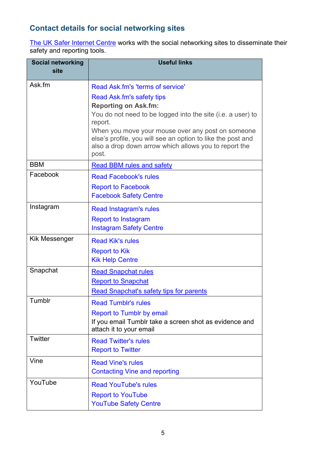## **Contact details for social networking sites**

[The UK Safer Internet Centre](http://www.saferinternet.org.uk/advice-and-resources/parents-and-carers/safety-tools-on-online-services) works with the social networking sites to disseminate their safety and reporting tools.

| <b>Social networking</b><br>site | <b>Useful links</b>                                                                                                                                                                                                                                                                        |  |  |
|----------------------------------|--------------------------------------------------------------------------------------------------------------------------------------------------------------------------------------------------------------------------------------------------------------------------------------------|--|--|
| Ask fm                           | Read Ask fm's 'terms of service'<br>Read Ask.fm's safety tips<br><b>Reporting on Ask.fm:</b><br>You do not need to be logged into the site (i.e. a user) to<br>report.<br>When you move your mouse over any post on someone<br>else's profile, you will see an option to like the post and |  |  |
|                                  | also a drop down arrow which allows you to report the<br>post.                                                                                                                                                                                                                             |  |  |
| <b>BBM</b>                       | <b>Read BBM rules and safety</b>                                                                                                                                                                                                                                                           |  |  |
| Facebook                         | <b>Read Facebook's rules</b><br><b>Report to Facebook</b><br><b>Facebook Safety Centre</b>                                                                                                                                                                                                 |  |  |
| Instagram                        | Read Instagram's rules<br><b>Report to Instagram</b><br><b>Instagram Safety Centre</b>                                                                                                                                                                                                     |  |  |
| Kik Messenger                    | <b>Read Kik's rules</b><br><b>Report to Kik</b><br><b>Kik Help Centre</b>                                                                                                                                                                                                                  |  |  |
| Snapchat                         | <b>Read Snapchat rules</b><br><b>Report to Snapchat</b><br><b>Read Snapchat's safety tips for parents</b>                                                                                                                                                                                  |  |  |
| Tumblr                           | <b>Read Tumblr's rules</b><br><b>Report to Tumblr by email</b><br>If you email Tumblr take a screen shot as evidence and<br>attach it to your email                                                                                                                                        |  |  |
| Twitter                          | <b>Read Twitter's rules</b><br><b>Report to Twitter</b>                                                                                                                                                                                                                                    |  |  |
| Vine                             | <b>Read Vine's rules</b><br><b>Contacting Vine and reporting</b>                                                                                                                                                                                                                           |  |  |
| YouTube                          | <b>Read YouTube's rules</b><br><b>Report to YouTube</b><br><b>YouTube Safety Centre</b>                                                                                                                                                                                                    |  |  |